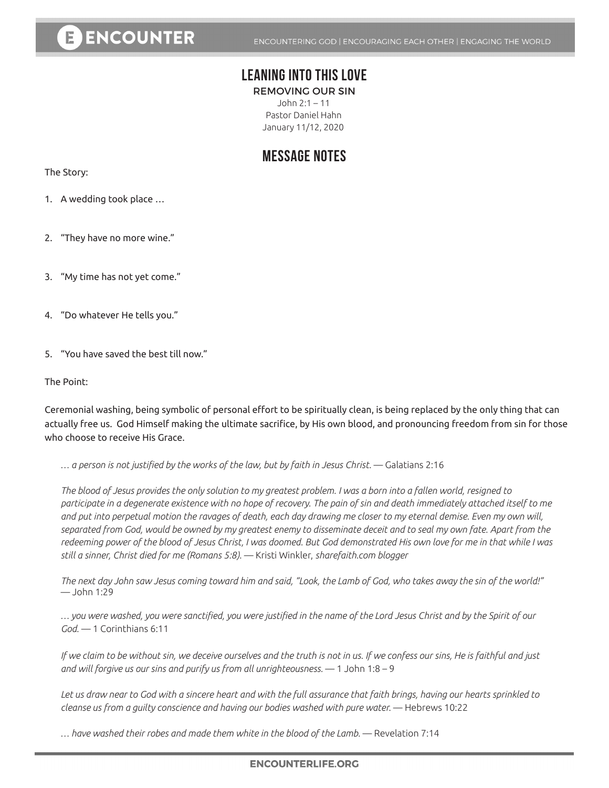## E ENCOUNTER

### **LEANING INTO THIS LOVE**

REMOVING OUR SIN

John 2:1 – 11 Pastor Daniel Hahn January 11/12, 2020

### **MESSAGE NOTES**

The Story:

- 1. A wedding took place …
- 2. "They have no more wine."
- 3. "My time has not yet come."
- 4. "Do whatever He tells you."
- 5. "You have saved the best till now."

The Point:

Ceremonial washing, being symbolic of personal effort to be spiritually clean, is being replaced by the only thing that can actually free us. God Himself making the ultimate sacrifice, by His own blood, and pronouncing freedom from sin for those who choose to receive His Grace.

*… a person is not justified by the works of the law, but by faith in Jesus Christ.* — Galatians 2:16

*The blood of Jesus provides the only solution to my greatest problem. I was a born into a fallen world, resigned to participate in a degenerate existence with no hope of recovery. The pain of sin and death immediately attached itself to me and put into perpetual motion the ravages of death, each day drawing me closer to my eternal demise. Even my own will, separated from God, would be owned by my greatest enemy to disseminate deceit and to seal my own fate. Apart from the redeeming power of the blood of Jesus Christ, I was doomed. But God demonstrated His own love for me in that while I was still a sinner, Christ died for me (Romans 5:8).* — Kristi Winkler, *sharefaith.com blogger*

*The next day John saw Jesus coming toward him and said, "Look, the Lamb of God, who takes away the sin of the world!"*  — John 1:29

*… you were washed, you were sanctified, you were justified in the name of the Lord Jesus Christ and by the Spirit of our God.* — 1 Corinthians 6:11

*If we claim to be without sin, we deceive ourselves and the truth is not in us. If we confess our sins, He is faithful and just and will forgive us our sins and purify us from all unrighteousness.* — 1 John 1:8 – 9

*Let us draw near to God with a sincere heart and with the full assurance that faith brings, having our hearts sprinkled to cleanse us from a guilty conscience and having our bodies washed with pure water.* — Hebrews 10:22

*… have washed their robes and made them white in the blood of the Lamb.* — Revelation 7:14

#### **ENCOUNTERLIFE.ORG**